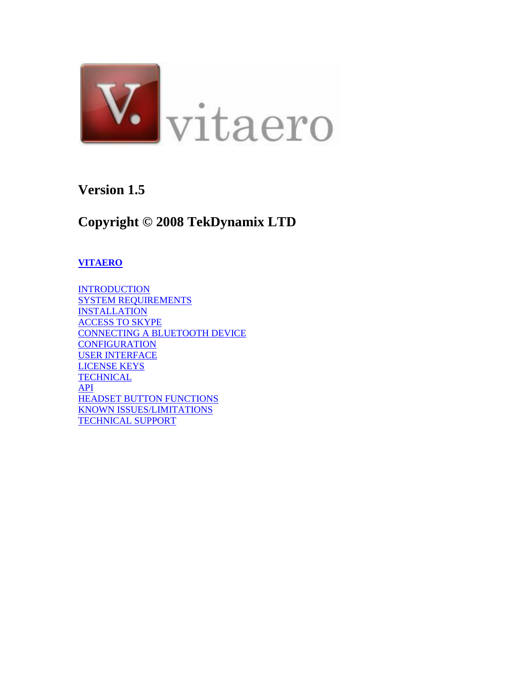

# **Version 1.5**

# **Copyright © 2008 TekDynamix LTD**

## **[VITAERO](#page-1-0)**

**[INTRODUCTION](#page-1-1)** [SYSTEM REQUIREMENTS](#page-1-2) [INSTALLATION](#page-1-3) [ACCESS TO SKYPE](#page-1-4) [CONNECTING A BLUETOOTH DEVICE](#page-4-0) **[CONFIGURATION](#page-5-0)** [USER INTERFACE](#page-9-0) [LICENSE KEYS](#page-11-0) **[TECHNICAL](#page-11-1)** [API](#page-12-0) [HEADSET BUTTON FUNCTIONS](#page-14-0) [KNOWN ISSUES/LIMITATIONS](#page-15-0) [TECHNICAL SUPPORT](#page-15-1)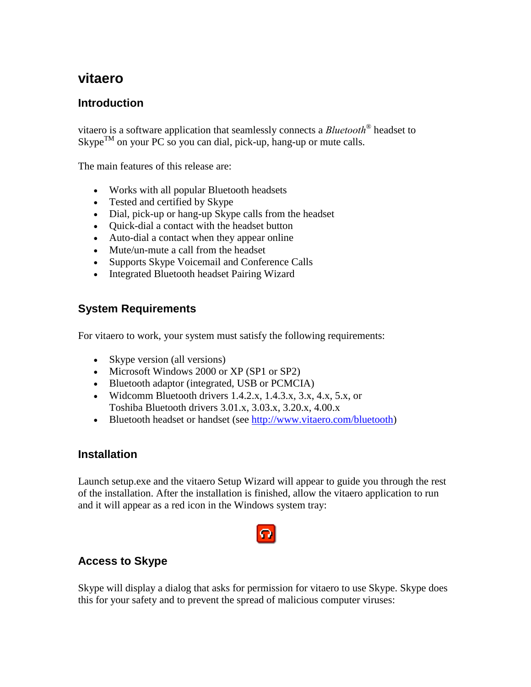# <span id="page-1-0"></span>**vitaero**

## <span id="page-1-1"></span>**Introduction**

vitaero is a software application that seamlessly connects a *Bluetooth*® headset to  $\text{Skype}^{\text{TM}}$  on your PC so you can dial, pick-up, hang-up or mute calls.

The main features of this release are:

- Works with all popular Bluetooth headsets
- Tested and certified by Skype
- Dial, pick-up or hang-up Skype calls from the headset
- Quick-dial a contact with the headset button
- Auto-dial a contact when they appear online
- Mute/un-mute a call from the headset
- Supports Skype Voicemail and Conference Calls
- Integrated Bluetooth headset Pairing Wizard

## <span id="page-1-2"></span>**System Requirements**

For vitaero to work, your system must satisfy the following requirements:

- Skype version (all versions)
- Microsoft Windows 2000 or XP (SP1 or SP2)
- Bluetooth adaptor (integrated, USB or PCMCIA)
- Widcomm Bluetooth drivers  $1.4.2.x$ ,  $1.4.3.x$ ,  $3.x$ ,  $4.x$ ,  $5.x$ , or Toshiba Bluetooth drivers 3.01.x, 3.03.x, 3.20.x, 4.00.x
- Bluetooth headset or handset (see [http://www.vitaero.com/bluetooth\)](http://www.vitaero.com/bluetooth)

## <span id="page-1-3"></span>**Installation**

Launch setup.exe and the vitaero Setup Wizard will appear to guide you through the rest of the installation. After the installation is finished, allow the vitaero application to run and it will appear as a red icon in the Windows system tray:

# <span id="page-1-4"></span>**Access to Skype**

Skype will display a dialog that asks for permission for vitaero to use Skype. Skype does this for your safety and to prevent the spread of malicious computer viruses: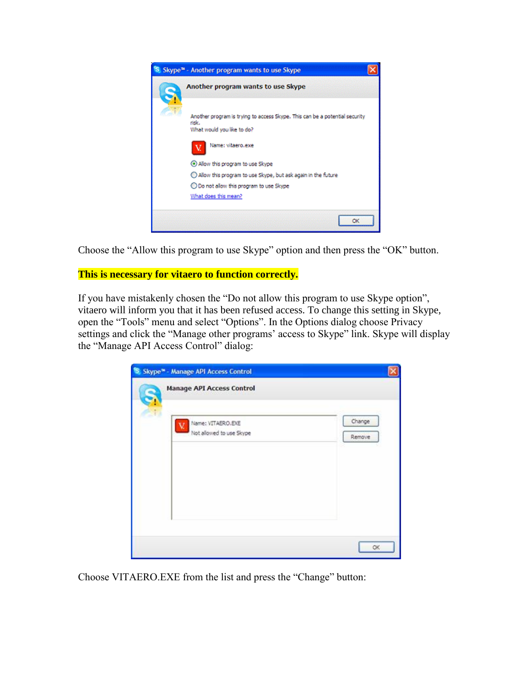

Choose the "Allow this program to use Skype" option and then press the "OK" button.

## **This is necessary for vitaero to function correctly.**

If you have mistakenly chosen the "Do not allow this program to use Skype option", vitaero will inform you that it has been refused access. To change this setting in Skype, open the "Tools" menu and select "Options". In the Options dialog choose Privacy settings and click the "Manage other programs' access to Skype" link. Skype will display the "Manage API Access Control" dialog:



Choose VITAERO.EXE from the list and press the "Change" button: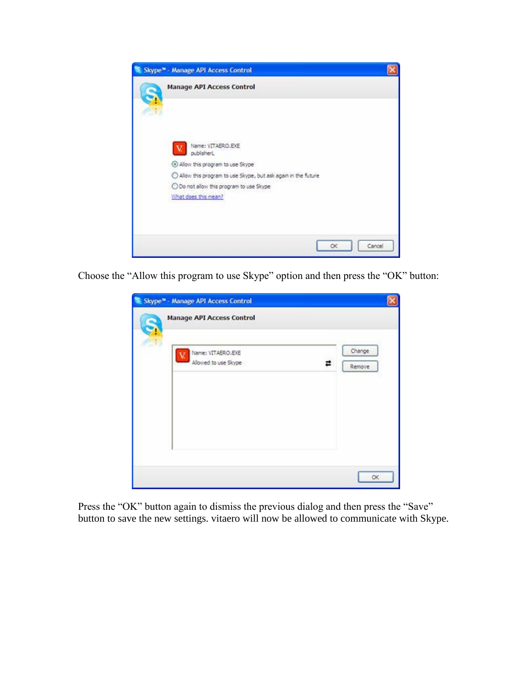

Choose the "Allow this program to use Skype" option and then press the "OK" button:

| fs. | Skype™ - Manage API Access Control        |                  |
|-----|-------------------------------------------|------------------|
|     | <b>Manage API Access Control</b>          |                  |
|     | Name: VITAERO.EXE<br>Allowed to use Skype | Change<br>Remove |
|     |                                           | OK               |

Press the "OK" button again to dismiss the previous dialog and then press the "Save" button to save the new settings. vitaero will now be allowed to communicate with Skype.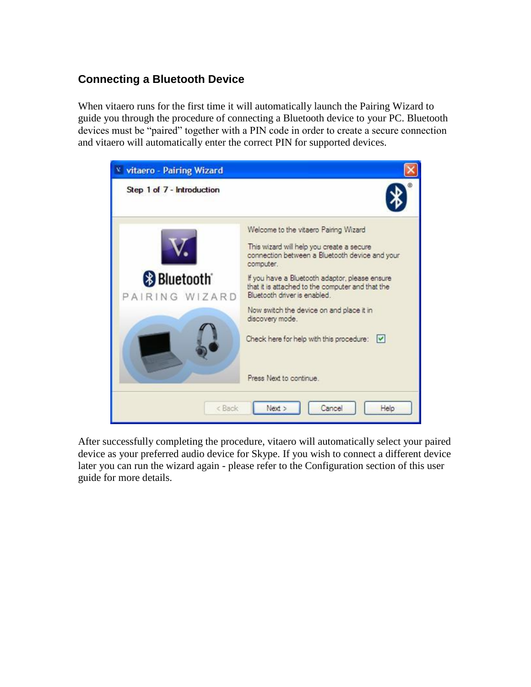# <span id="page-4-0"></span>**Connecting a Bluetooth Device**

When vitaero runs for the first time it will automatically launch the Pairing Wizard to guide you through the procedure of connecting a Bluetooth device to your PC. Bluetooth devices must be "paired" together with a PIN code in order to create a secure connection and vitaero will automatically enter the correct PIN for supported devices.



After successfully completing the procedure, vitaero will automatically select your paired device as your preferred audio device for Skype. If you wish to connect a different device later you can run the wizard again - please refer to the Configuration section of this user guide for more details.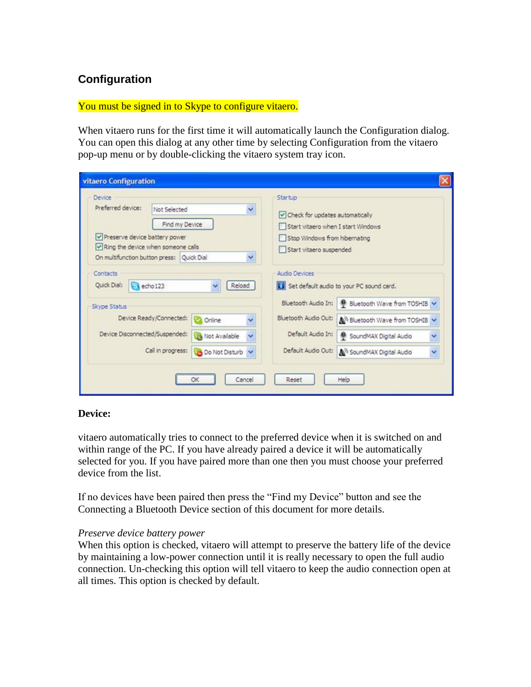# <span id="page-5-0"></span>**Configuration**

#### You must be signed in to Skype to configure vitaero.

When vitaero runs for the first time it will automatically launch the Configuration dialog. You can open this dialog at any other time by selecting Configuration from the vitaero pop-up menu or by double-clicking the vitaero system tray icon.

| Device<br>Preferred device:                                                     |                               | Startup                            |                                                                        |   |
|---------------------------------------------------------------------------------|-------------------------------|------------------------------------|------------------------------------------------------------------------|---|
| Not Selected                                                                    | Y                             | Check for updates automatically    |                                                                        |   |
| Find my Device                                                                  |                               | Start vitaero when I start Windows |                                                                        |   |
| Preserve device battery power                                                   |                               | Stop Windows from hibernating      |                                                                        |   |
| Ring the device when someone calls<br>On multifunction button press: Quick Dial | ×                             | Start vitaero suspended            |                                                                        |   |
| Quick Dial:<br>echo123<br>Skype Status                                          | Reload                        | Bluetooth Audio In:                | Set default audio to your PC sound card.<br>Bluetooth Wave from TOSHIB |   |
| Device Ready/Connected:                                                         | <b>Ca</b> Online<br>v         | Bluetooth Audio Out:               | Bluetooth Wave from TOSHIB                                             |   |
| Device Disconnected/Suspended:                                                  | $\checkmark$<br>Not Available | Default Audio In:                  | SoundMAX Digital Audio                                                 | M |
| Call in progress:                                                               | Do Not Disturb                | Default Audio Out:                 | SoundMAX Digital Audio                                                 | v |

#### **Device:**

vitaero automatically tries to connect to the preferred device when it is switched on and within range of the PC. If you have already paired a device it will be automatically selected for you. If you have paired more than one then you must choose your preferred device from the list.

If no devices have been paired then press the "Find my Device" button and see the Connecting a Bluetooth Device section of this document for more details.

#### *Preserve device battery power*

When this option is checked, vitaero will attempt to preserve the battery life of the device by maintaining a low-power connection until it is really necessary to open the full audio connection. Un-checking this option will tell vitaero to keep the audio connection open at all times. This option is checked by default.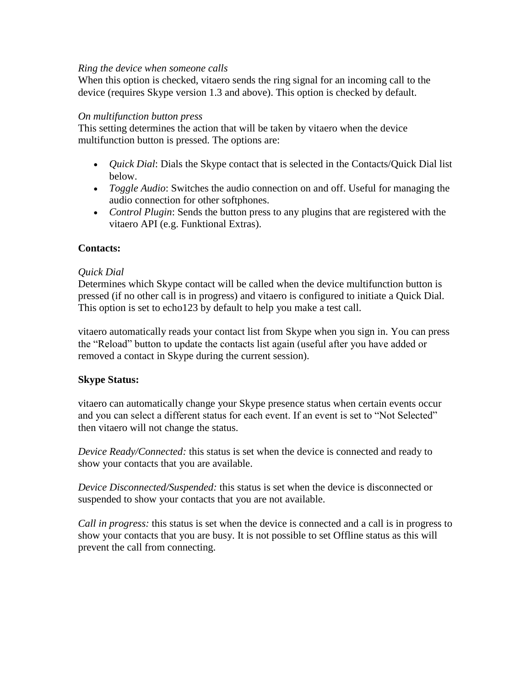#### *Ring the device when someone calls*

When this option is checked, vitaero sends the ring signal for an incoming call to the device (requires Skype version 1.3 and above). This option is checked by default.

#### *On multifunction button press*

This setting determines the action that will be taken by vitaero when the device multifunction button is pressed. The options are:

- *Quick Dial*: Dials the Skype contact that is selected in the Contacts/Quick Dial list below.
- *Toggle Audio*: Switches the audio connection on and off. Useful for managing the audio connection for other softphones.
- *Control Plugin*: Sends the button press to any plugins that are registered with the vitaero API (e.g. Funktional Extras).

## **Contacts:**

#### *Quick Dial*

Determines which Skype contact will be called when the device multifunction button is pressed (if no other call is in progress) and vitaero is configured to initiate a Quick Dial. This option is set to echo123 by default to help you make a test call.

vitaero automatically reads your contact list from Skype when you sign in. You can press the "Reload" button to update the contacts list again (useful after you have added or removed a contact in Skype during the current session).

#### **Skype Status:**

vitaero can automatically change your Skype presence status when certain events occur and you can select a different status for each event. If an event is set to "Not Selected" then vitaero will not change the status.

*Device Ready/Connected:* this status is set when the device is connected and ready to show your contacts that you are available.

*Device Disconnected/Suspended:* this status is set when the device is disconnected or suspended to show your contacts that you are not available.

*Call in progress:* this status is set when the device is connected and a call is in progress to show your contacts that you are busy. It is not possible to set Offline status as this will prevent the call from connecting.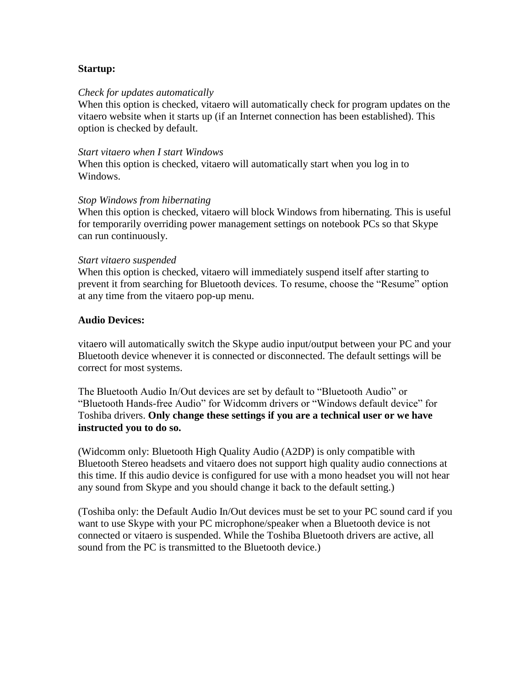#### **Startup:**

#### *Check for updates automatically*

When this option is checked, vitaero will automatically check for program updates on the vitaero website when it starts up (if an Internet connection has been established). This option is checked by default.

#### *Start vitaero when I start Windows*

When this option is checked, vitaero will automatically start when you log in to Windows.

#### *Stop Windows from hibernating*

When this option is checked, vitaero will block Windows from hibernating. This is useful for temporarily overriding power management settings on notebook PCs so that Skype can run continuously.

#### *Start vitaero suspended*

When this option is checked, vitaero will immediately suspend itself after starting to prevent it from searching for Bluetooth devices. To resume, choose the "Resume" option at any time from the vitaero pop-up menu.

#### **Audio Devices:**

vitaero will automatically switch the Skype audio input/output between your PC and your Bluetooth device whenever it is connected or disconnected. The default settings will be correct for most systems.

The Bluetooth Audio In/Out devices are set by default to "Bluetooth Audio" or "Bluetooth Hands-free Audio" for Widcomm drivers or "Windows default device" for Toshiba drivers. **Only change these settings if you are a technical user or we have instructed you to do so.**

(Widcomm only: Bluetooth High Quality Audio (A2DP) is only compatible with Bluetooth Stereo headsets and vitaero does not support high quality audio connections at this time. If this audio device is configured for use with a mono headset you will not hear any sound from Skype and you should change it back to the default setting.)

(Toshiba only: the Default Audio In/Out devices must be set to your PC sound card if you want to use Skype with your PC microphone/speaker when a Bluetooth device is not connected or vitaero is suspended. While the Toshiba Bluetooth drivers are active, all sound from the PC is transmitted to the Bluetooth device.)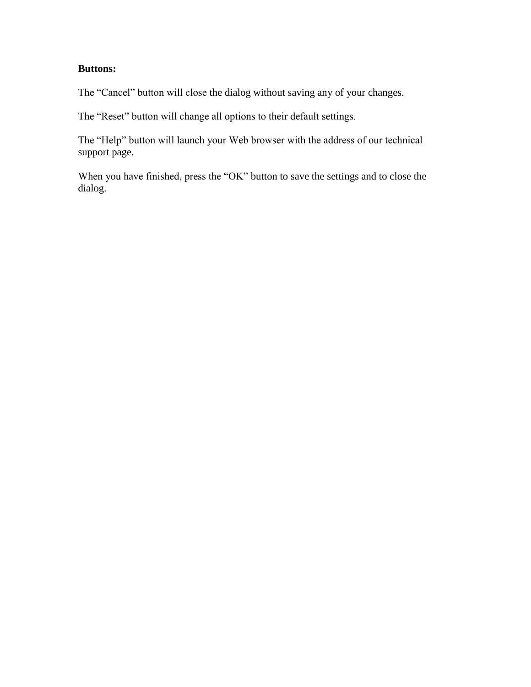## **Buttons:**

The "Cancel" button will close the dialog without saving any of your changes.

The "Reset" button will change all options to their default settings.

The "Help" button will launch your Web browser with the address of our technical support page.

When you have finished, press the "OK" button to save the settings and to close the dialog.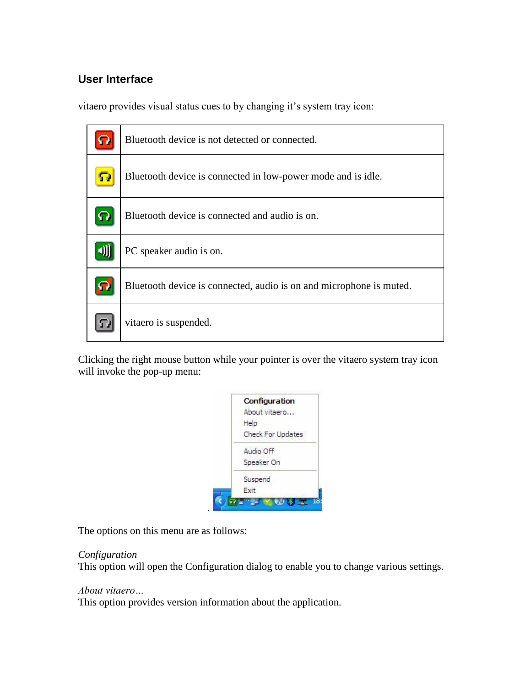# <span id="page-9-0"></span>**User Interface**

vitaero provides visual status cues to by changing it's system tray icon:

| ဂ  | Bluetooth device is not detected or connected.                      |
|----|---------------------------------------------------------------------|
| o, | Bluetooth device is connected in low-power mode and is idle.        |
| ິ  | Bluetooth device is connected and audio is on.                      |
|    | PC speaker audio is on.                                             |
|    | Bluetooth device is connected, audio is on and microphone is muted. |
| T  | vitaero is suspended.                                               |

Clicking the right mouse button while your pointer is over the vitaero system tray icon will invoke the pop-up menu:



The options on this menu are as follows:

## *Configuration*

This option will open the Configuration dialog to enable you to change various settings.

## *About vitaero…*

This option provides version information about the application.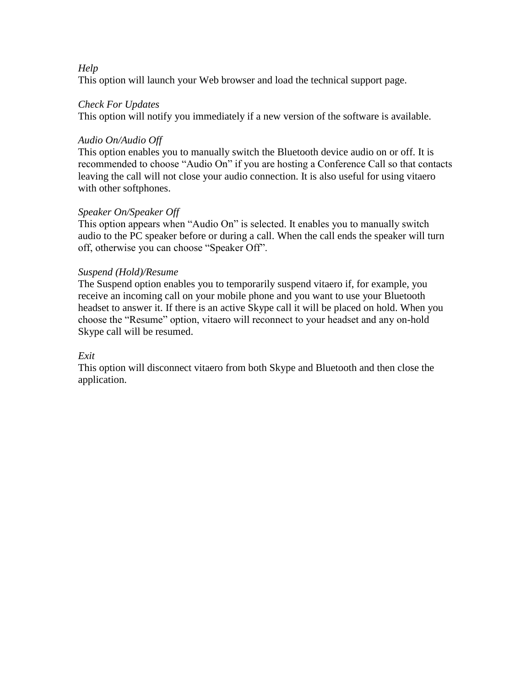## *Help*

This option will launch your Web browser and load the technical support page.

## *Check For Updates*

This option will notify you immediately if a new version of the software is available.

## *Audio On/Audio Off*

This option enables you to manually switch the Bluetooth device audio on or off. It is recommended to choose "Audio On" if you are hosting a Conference Call so that contacts leaving the call will not close your audio connection. It is also useful for using vitaero with other softphones.

## *Speaker On/Speaker Off*

This option appears when "Audio On" is selected. It enables you to manually switch audio to the PC speaker before or during a call. When the call ends the speaker will turn off, otherwise you can choose "Speaker Off".

## *Suspend (Hold)/Resume*

The Suspend option enables you to temporarily suspend vitaero if, for example, you receive an incoming call on your mobile phone and you want to use your Bluetooth headset to answer it. If there is an active Skype call it will be placed on hold. When you choose the "Resume" option, vitaero will reconnect to your headset and any on-hold Skype call will be resumed.

## *Exit*

This option will disconnect vitaero from both Skype and Bluetooth and then close the application.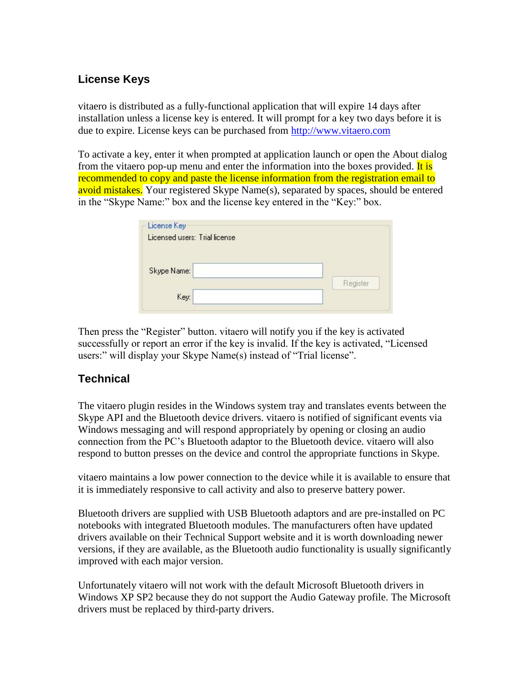# <span id="page-11-0"></span>**License Keys**

vitaero is distributed as a fully-functional application that will expire 14 days after installation unless a license key is entered. It will prompt for a key two days before it is due to expire. License keys can be purchased from [http://www.vitaero.com](http://www.vitaero.com/)

To activate a key, enter it when prompted at application launch or open the About dialog from the vitaero pop-up menu and enter the information into the boxes provided. It is recommended to copy and paste the license information from the registration email to avoid mistakes. Your registered Skype Name(s), separated by spaces, should be entered in the "Skype Name:" box and the license key entered in the "Key:" box.

| Licensed users: Trial license |  |
|-------------------------------|--|
|                               |  |
| Skype Name:                   |  |

Then press the "Register" button. vitaero will notify you if the key is activated successfully or report an error if the key is invalid. If the key is activated, "Licensed users:" will display your Skype Name(s) instead of "Trial license".

# <span id="page-11-1"></span>**Technical**

The vitaero plugin resides in the Windows system tray and translates events between the Skype API and the Bluetooth device drivers. vitaero is notified of significant events via Windows messaging and will respond appropriately by opening or closing an audio connection from the PC"s Bluetooth adaptor to the Bluetooth device. vitaero will also respond to button presses on the device and control the appropriate functions in Skype.

vitaero maintains a low power connection to the device while it is available to ensure that it is immediately responsive to call activity and also to preserve battery power.

Bluetooth drivers are supplied with USB Bluetooth adaptors and are pre-installed on PC notebooks with integrated Bluetooth modules. The manufacturers often have updated drivers available on their Technical Support website and it is worth downloading newer versions, if they are available, as the Bluetooth audio functionality is usually significantly improved with each major version.

Unfortunately vitaero will not work with the default Microsoft Bluetooth drivers in Windows XP SP2 because they do not support the Audio Gateway profile. The Microsoft drivers must be replaced by third-party drivers.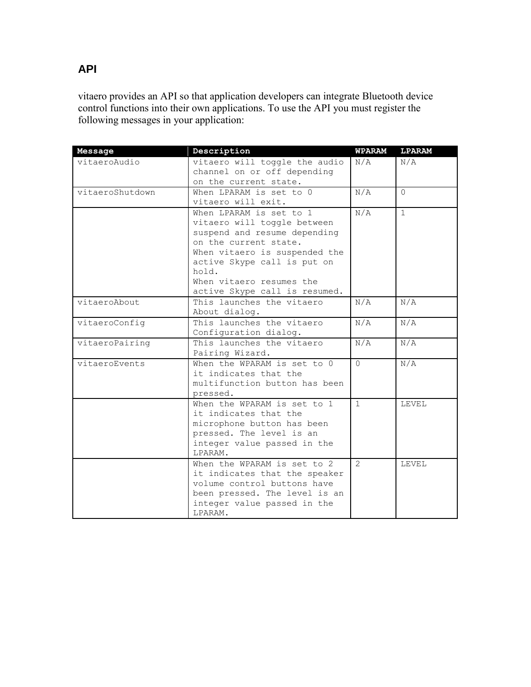vitaero provides an API so that application developers can integrate Bluetooth device control functions into their own applications. To use the API you must register the following messages in your application:

| Message         | Description                                                                                                                                                                                                                                           | <b>WPARAM</b> | <b>LPARAM</b> |
|-----------------|-------------------------------------------------------------------------------------------------------------------------------------------------------------------------------------------------------------------------------------------------------|---------------|---------------|
| vitaeroAudio    | vitaero will toggle the audio<br>channel on or off depending                                                                                                                                                                                          | N/A           | N/A           |
|                 | on the current state.                                                                                                                                                                                                                                 |               |               |
| vitaeroShutdown | When LPARAM is set to 0<br>vitaero will exit.                                                                                                                                                                                                         | N/A           | $\Omega$      |
|                 | When LPARAM is set to 1<br>vitaero will toggle between<br>suspend and resume depending<br>on the current state.<br>When vitaero is suspended the<br>active Skype call is put on<br>hold.<br>When vitaero resumes the<br>active Skype call is resumed. | N/A           | $\mathbf{1}$  |
| vitaeroAbout    | This launches the vitaero<br>About dialog.                                                                                                                                                                                                            | N/A           | N/A           |
| vitaeroConfig   | This launches the vitaero<br>Configuration dialog.                                                                                                                                                                                                    | N/A           | N/A           |
| vitaeroPairing  | This launches the vitaero<br>Pairing Wizard.                                                                                                                                                                                                          | N/A           | N/A           |
| vitaeroEvents   | When the WPARAM is set to 0<br>it indicates that the<br>multifunction button has been<br>pressed.                                                                                                                                                     | $\cap$        | N/A           |
|                 | When the WPARAM is set to 1<br>it indicates that the<br>microphone button has been<br>pressed. The level is an<br>integer value passed in the<br>LPARAM.                                                                                              | $\mathbf{1}$  | LEVEL         |
|                 | When the WPARAM is set to 2<br>it indicates that the speaker<br>volume control buttons have<br>been pressed. The level is an<br>integer value passed in the<br>LPARAM.                                                                                | $\mathcal{L}$ | LEVEL         |

## <span id="page-12-0"></span>**API**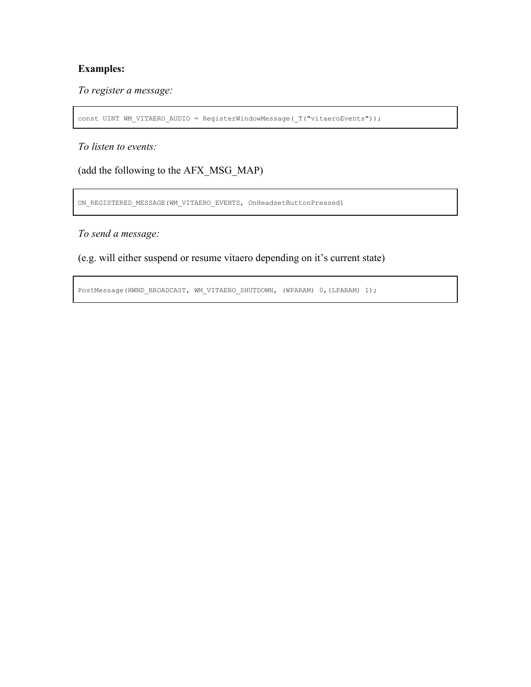## **Examples:**

*To register a message:*

const UINT WM\_VITAERO\_AUDIO = RegisterWindowMessage(\_T("vitaeroEvents"));

*To listen to events:*

(add the following to the AFX\_MSG\_MAP)

ON\_REGISTERED\_MESSAGE(WM\_VITAERO\_EVENTS, OnHeadsetButtonPressed)

*To send a message:*

(e.g. will either suspend or resume vitaero depending on it's current state)

PostMessage(HWND\_BROADCAST, WM\_VITAERO\_SHUTDOWN, (WPARAM) 0,(LPARAM) 1);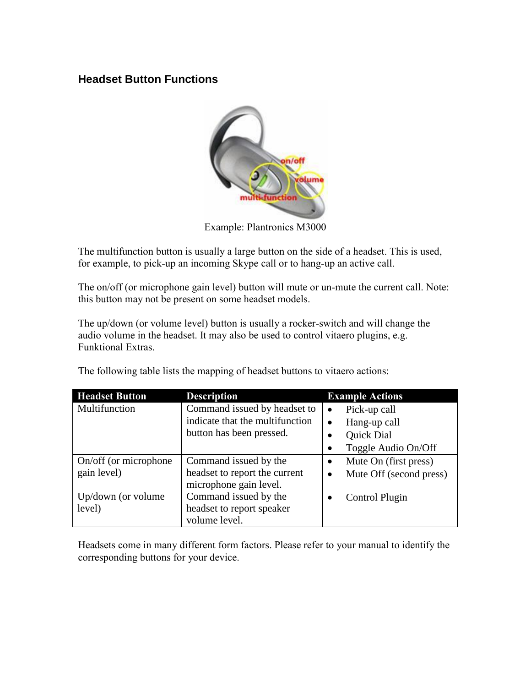## <span id="page-14-0"></span>**Headset Button Functions**



Example: Plantronics M3000

The multifunction button is usually a large button on the side of a headset. This is used, for example, to pick-up an incoming Skype call or to hang-up an active call.

The on/off (or microphone gain level) button will mute or un-mute the current call. Note: this button may not be present on some headset models.

The up/down (or volume level) button is usually a rocker-switch and will change the audio volume in the headset. It may also be used to control vitaero plugins, e.g. Funktional Extras.

| <b>Headset Button</b>  | <b>Description</b>              | <b>Example Actions</b>               |
|------------------------|---------------------------------|--------------------------------------|
| Multifunction          | Command issued by headset to    | Pick-up call<br>$\bullet$            |
|                        | indicate that the multifunction | Hang-up call<br>$\bullet$            |
|                        | button has been pressed.        | <b>Quick Dial</b>                    |
|                        |                                 | Toggle Audio On/Off                  |
| On/off (or microphone) | Command issued by the           | Mute On (first press)<br>$\bullet$   |
| gain level)            | headset to report the current   | Mute Off (second press)<br>$\bullet$ |
|                        | microphone gain level.          |                                      |
| Up/down (or volume)    | Command issued by the           | Control Plugin                       |
| level)                 | headset to report speaker       |                                      |
|                        | volume level.                   |                                      |

The following table lists the mapping of headset buttons to vitaero actions:

Headsets come in many different form factors. Please refer to your manual to identify the corresponding buttons for your device.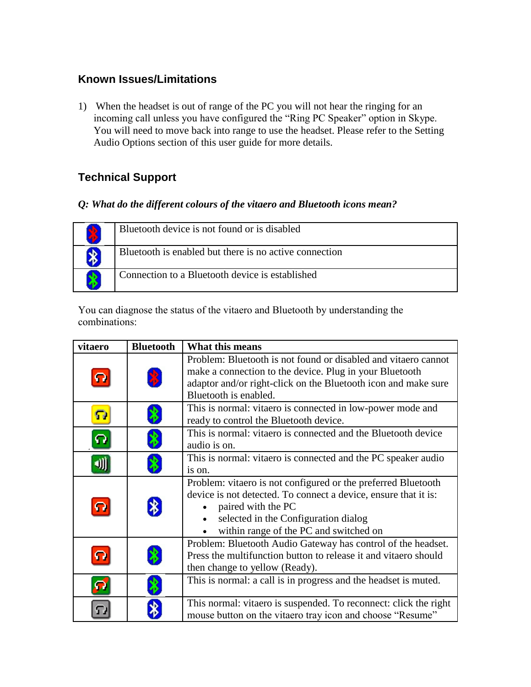## <span id="page-15-0"></span>**Known Issues/Limitations**

1) When the headset is out of range of the PC you will not hear the ringing for an incoming call unless you have configured the "Ring PC Speaker" option in Skype. You will need to move back into range to use the headset. Please refer to the Setting Audio Options section of this user guide for more details.

# <span id="page-15-1"></span>**Technical Support**

## *Q: What do the different colours of the vitaero and Bluetooth icons mean?*

| Bluetooth device is not found or is disabled           |
|--------------------------------------------------------|
| Bluetooth is enabled but there is no active connection |
| Connection to a Bluetooth device is established        |

You can diagnose the status of the vitaero and Bluetooth by understanding the combinations:

| vitaero | <b>Bluetooth</b> | What this means                                                                                                                                                                                                                          |
|---------|------------------|------------------------------------------------------------------------------------------------------------------------------------------------------------------------------------------------------------------------------------------|
| Ω       | 串                | Problem: Bluetooth is not found or disabled and vitaero cannot<br>make a connection to the device. Plug in your Bluetooth<br>adaptor and/or right-click on the Bluetooth icon and make sure<br>Bluetooth is enabled.                     |
| 0       | ≸                | This is normal: vitaero is connected in low-power mode and<br>ready to control the Bluetooth device.                                                                                                                                     |
|         |                  | This is normal: vitaero is connected and the Bluetooth device<br>audio is on.                                                                                                                                                            |
|         | $\ast$           | This is normal: vitaero is connected and the PC speaker audio<br>is on.                                                                                                                                                                  |
| ი       | $\big  \big\}$   | Problem: vitaero is not configured or the preferred Bluetooth<br>device is not detected. To connect a device, ensure that it is:<br>paired with the PC<br>selected in the Configuration dialog<br>within range of the PC and switched on |
| ဂ       |                  | Problem: Bluetooth Audio Gateway has control of the headset.<br>Press the multifunction button to release it and vitaero should<br>then change to yellow (Ready).                                                                        |
|         |                  | This is normal: a call is in progress and the headset is muted.                                                                                                                                                                          |
|         |                  | This normal: vitaero is suspended. To reconnect: click the right<br>mouse button on the vitaero tray icon and choose "Resume"                                                                                                            |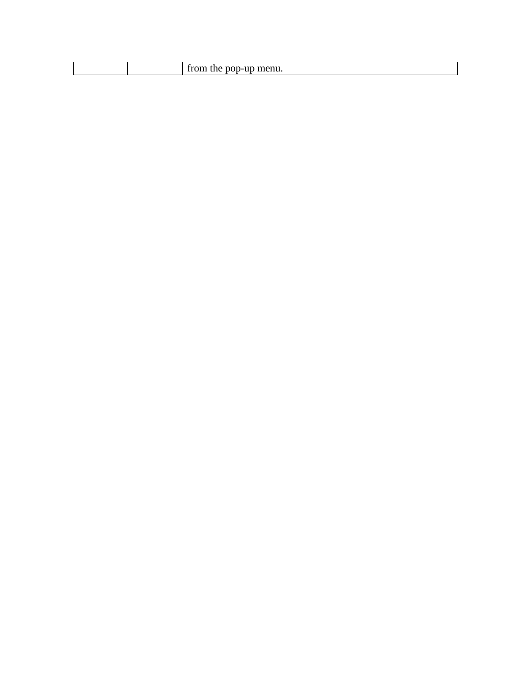| from the<br>menu.<br>pop-up |  |
|-----------------------------|--|
| -------                     |  |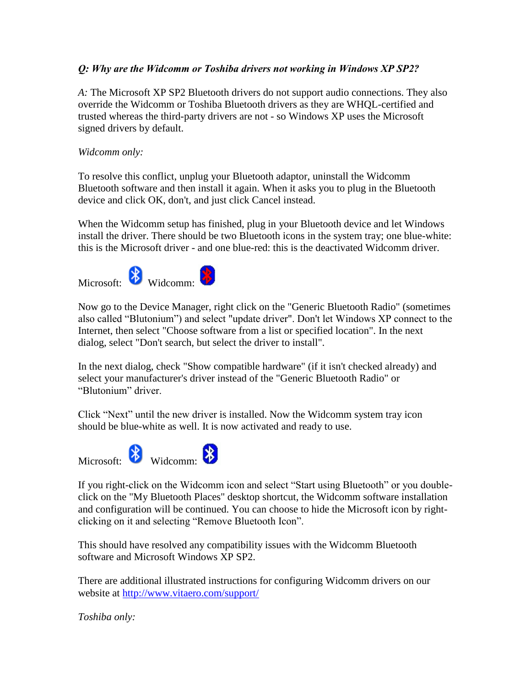## *Q: Why are the Widcomm or Toshiba drivers not working in Windows XP SP2?*

*A:* The Microsoft XP SP2 Bluetooth drivers do not support audio connections. They also override the Widcomm or Toshiba Bluetooth drivers as they are WHQL-certified and trusted whereas the third-party drivers are not - so Windows XP uses the Microsoft signed drivers by default.

#### *Widcomm only:*

To resolve this conflict, unplug your Bluetooth adaptor, uninstall the Widcomm Bluetooth software and then install it again. When it asks you to plug in the Bluetooth device and click OK, don't, and just click Cancel instead.

When the Widcomm setup has finished, plug in your Bluetooth device and let Windows install the driver. There should be two Bluetooth icons in the system tray; one blue-white: this is the Microsoft driver - and one blue-red: this is the deactivated Widcomm driver.



Now go to the Device Manager, right click on the "Generic Bluetooth Radio" (sometimes also called "Blutonium") and select "update driver". Don't let Windows XP connect to the Internet, then select "Choose software from a list or specified location". In the next dialog, select "Don't search, but select the driver to install".

In the next dialog, check "Show compatible hardware" (if it isn't checked already) and select your manufacturer's driver instead of the "Generic Bluetooth Radio" or "Blutonium" driver.

Click "Next" until the new driver is installed. Now the Widcomm system tray icon should be blue-white as well. It is now activated and ready to use.



If you right-click on the Widcomm icon and select "Start using Bluetooth" or you doubleclick on the "My Bluetooth Places" desktop shortcut, the Widcomm software installation and configuration will be continued. You can choose to hide the Microsoft icon by rightclicking on it and selecting "Remove Bluetooth Icon".

This should have resolved any compatibility issues with the Widcomm Bluetooth software and Microsoft Windows XP SP2.

There are additional illustrated instructions for configuring Widcomm drivers on our website at<http://www.vitaero.com/support/>

*Toshiba only:*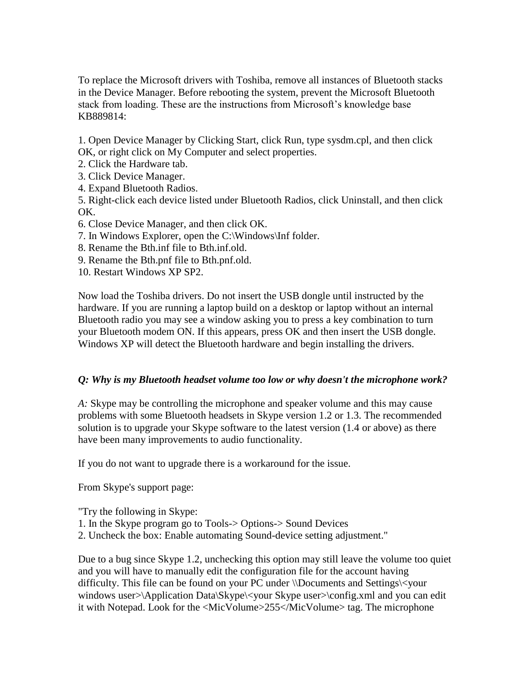To replace the Microsoft drivers with Toshiba, remove all instances of Bluetooth stacks in the Device Manager. Before rebooting the system, prevent the Microsoft Bluetooth stack from loading. These are the instructions from Microsoft"s knowledge base KB889814:

1. Open Device Manager by Clicking Start, click Run, type sysdm.cpl, and then click OK, or right click on My Computer and select properties.

- 2. Click the Hardware tab.
- 3. Click Device Manager.
- 4. Expand Bluetooth Radios.

5. Right-click each device listed under Bluetooth Radios, click Uninstall, and then click OK.

- 6. Close Device Manager, and then click OK.
- 7. In Windows Explorer, open the C:\Windows\Inf folder.
- 8. Rename the Bth.inf file to Bth.inf.old.
- 9. Rename the Bth.pnf file to Bth.pnf.old.
- 10. Restart Windows XP SP2.

Now load the Toshiba drivers. Do not insert the USB dongle until instructed by the hardware. If you are running a laptop build on a desktop or laptop without an internal Bluetooth radio you may see a window asking you to press a key combination to turn your Bluetooth modem ON. If this appears, press OK and then insert the USB dongle. Windows XP will detect the Bluetooth hardware and begin installing the drivers.

#### *Q: Why is my Bluetooth headset volume too low or why doesn't the microphone work?*

*A:* Skype may be controlling the microphone and speaker volume and this may cause problems with some Bluetooth headsets in Skype version 1.2 or 1.3. The recommended solution is to upgrade your Skype software to the latest version (1.4 or above) as there have been many improvements to audio functionality.

If you do not want to upgrade there is a workaround for the issue.

From Skype's support page:

"Try the following in Skype:

- 1. In the Skype program go to Tools-> Options-> Sound Devices
- 2. Uncheck the box: Enable automating Sound-device setting adjustment."

Due to a bug since Skype 1.2, unchecking this option may still leave the volume too quiet and you will have to manually edit the configuration file for the account having difficulty. This file can be found on your PC under \\Documents and Settings\<your windows user>\Application Data\Skype\<your Skype user>\config.xml and you can edit it with Notepad. Look for the <MicVolume>255</MicVolume> tag. The microphone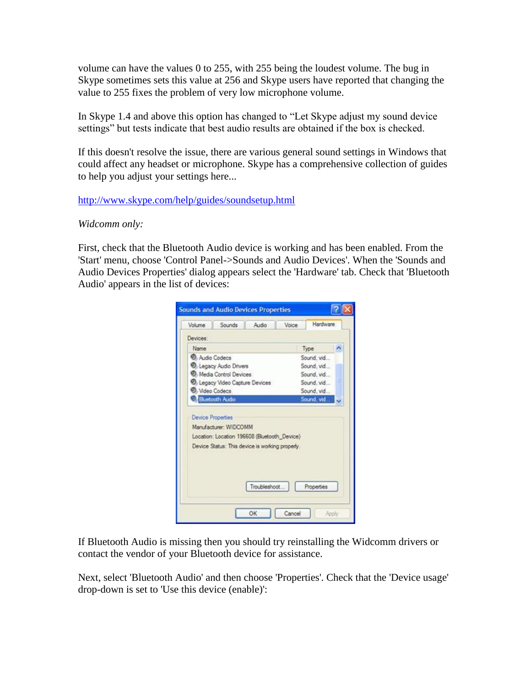volume can have the values 0 to 255, with 255 being the loudest volume. The bug in Skype sometimes sets this value at 256 and Skype users have reported that changing the value to 255 fixes the problem of very low microphone volume.

In Skype 1.4 and above this option has changed to "Let Skype adjust my sound device settings" but tests indicate that best audio results are obtained if the box is checked.

If this doesn't resolve the issue, there are various general sound settings in Windows that could affect any headset or microphone. Skype has a comprehensive collection of guides to help you adjust your settings here...

<http://www.skype.com/help/guides/soundsetup.html>

## *Widcomm only:*

First, check that the Bluetooth Audio device is working and has been enabled. From the 'Start' menu, choose 'Control Panel->Sounds and Audio Devices'. When the 'Sounds and Audio Devices Properties' dialog appears select the 'Hardware' tab. Check that 'Bluetooth Audio' appears in the list of devices:

| <b>Volume</b>       | Sounds                                                                                                                   | Audio        | Voice  | Hardware   |       |
|---------------------|--------------------------------------------------------------------------------------------------------------------------|--------------|--------|------------|-------|
| Devices:            |                                                                                                                          |              |        |            |       |
| Name                |                                                                                                                          |              |        | Type:      |       |
| Audio Codecs        |                                                                                                                          |              |        | Sound, vid |       |
|                     | <b>D.</b> Legacy Audio Drivers                                                                                           |              |        | Sound, vid |       |
|                     | <b>2</b> . Media Control Devices                                                                                         |              |        | Sound, vid |       |
|                     | C. Legacy Video Capture Devices                                                                                          |              |        | Sound vid  |       |
| <b>Video Codecs</b> |                                                                                                                          |              |        | Sound vid  |       |
|                     | Bluetooth Audio                                                                                                          |              |        | Sound, vid |       |
|                     | Manufacturer: WIDCOMM<br>Location: Location 196608 (Bluetooth Device)<br>Device Status: This device is working properly. | Troubleshoot |        | Properties |       |
|                     |                                                                                                                          | OK           | Cancel |            | Apply |

If Bluetooth Audio is missing then you should try reinstalling the Widcomm drivers or contact the vendor of your Bluetooth device for assistance.

Next, select 'Bluetooth Audio' and then choose 'Properties'. Check that the 'Device usage' drop-down is set to 'Use this device (enable)':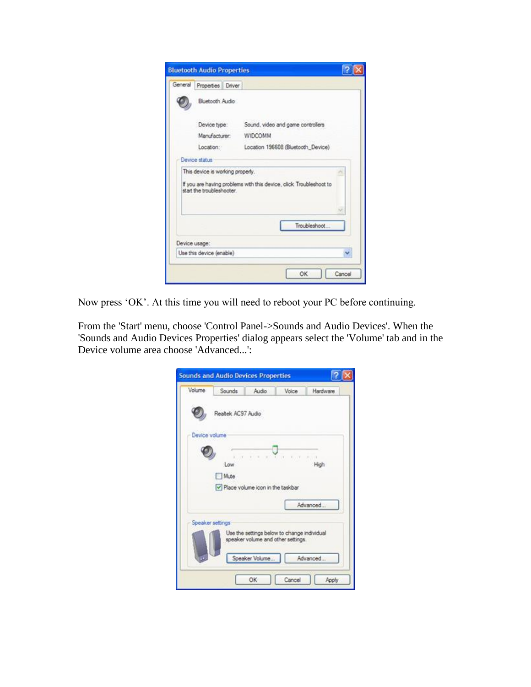|  |                           | <b>Bluetooth Audio Properties</b> |                                                                    |  |
|--|---------------------------|-----------------------------------|--------------------------------------------------------------------|--|
|  | General Properties Driver |                                   |                                                                    |  |
|  | Bluetooth Audio           |                                   |                                                                    |  |
|  | Device type:              |                                   | Sound, video and game controllers                                  |  |
|  | Manufacturer:             |                                   | WIDCOMM                                                            |  |
|  | Location:                 |                                   | Location 196608 (Bluetooth Device)                                 |  |
|  | Device status             |                                   |                                                                    |  |
|  | start the troubleshooter. |                                   | If you are having problems with this device, click Troubleshoot to |  |
|  |                           |                                   |                                                                    |  |
|  |                           |                                   | Troubleshoot                                                       |  |
|  | Device usage:             |                                   |                                                                    |  |
|  | Use this device (enable)  |                                   |                                                                    |  |

Now press "OK". At this time you will need to reboot your PC before continuing.

From the 'Start' menu, choose 'Control Panel->Sounds and Audio Devices'. When the 'Sounds and Audio Devices Properties' dialog appears select the 'Volume' tab and in the Device volume area choose 'Advanced...':

| Volume        | Sounds                           | Audio                                                                             | Voice   | Hardware     |
|---------------|----------------------------------|-----------------------------------------------------------------------------------|---------|--------------|
| Device volume | Realtek AC97 Audio               |                                                                                   |         |              |
|               | Low                              |                                                                                   | 1.1.1.1 | 7011<br>High |
|               | Mute                             |                                                                                   |         |              |
|               | Place volume icon in the taskbar |                                                                                   |         |              |
|               |                                  |                                                                                   |         | Advanced     |
|               | Speaker settings                 |                                                                                   |         |              |
|               |                                  |                                                                                   |         |              |
|               |                                  | Use the settings below to change individual<br>speaker volume and other settings. |         |              |
|               |                                  | Speaker Volume                                                                    |         | Advanced     |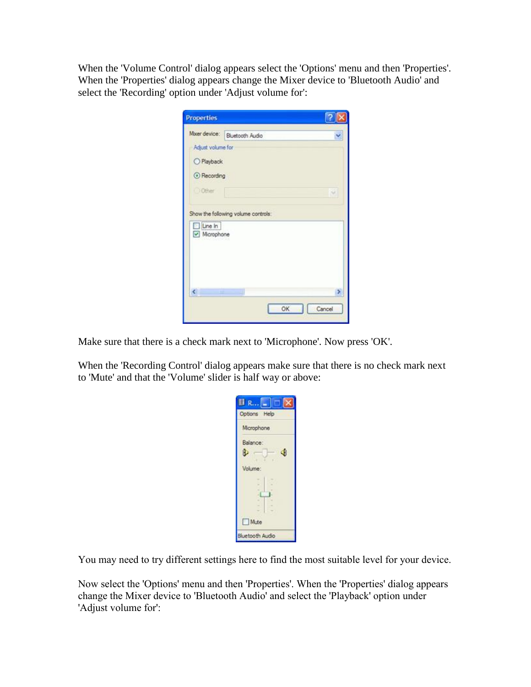When the 'Volume Control' dialog appears select the 'Options' menu and then 'Properties'. When the 'Properties' dialog appears change the Mixer device to 'Bluetooth Audio' and select the 'Recording' option under 'Adjust volume for':

| <b>Properties</b>         |                               |    |
|---------------------------|-------------------------------|----|
|                           | Mixer device: Bluetooth Audio |    |
| Adjust volume for         |                               |    |
| Playback                  |                               |    |
| <b><i>O</i></b> Recording |                               |    |
| Other                     |                               | B. |
| Line In<br>Microphone     |                               |    |
| ¢.                        | OK Cancel                     | ۰  |

Make sure that there is a check mark next to 'Microphone'. Now press 'OK'.

When the 'Recording Control' dialog appears make sure that there is no check mark next to 'Mute' and that the 'Volume' slider is half way or above:

| R               |
|-----------------|
| Options Help    |
| Microphone      |
| Balance:        |
| D<br>d.         |
| Volume:         |
|                 |
|                 |
|                 |
| Mute            |
| Bluetooth Audio |

You may need to try different settings here to find the most suitable level for your device.

Now select the 'Options' menu and then 'Properties'. When the 'Properties' dialog appears change the Mixer device to 'Bluetooth Audio' and select the 'Playback' option under 'Adjust volume for':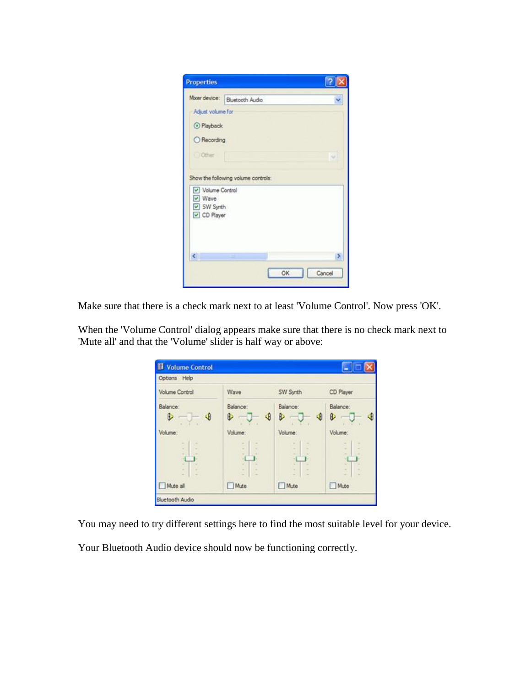| <b>Properties</b>                                       |                                     |                             |
|---------------------------------------------------------|-------------------------------------|-----------------------------|
| Adjust volume for                                       | Moter device: Bluetooth Audio       |                             |
| O Playback<br>Recording<br><b>O</b> Other               |                                     |                             |
| Volume Control<br>$~\vee$ Wave<br>SW Synth<br>CD Player | Show the following volume controls: | $\mathcal{L}_{\mathcal{C}}$ |
| ¢.                                                      |                                     | ×<br>OK   <br>Cancel        |

Make sure that there is a check mark next to at least 'Volume Control'. Now press 'OK'.

When the 'Volume Control' dialog appears make sure that there is no check mark next to 'Mute all' and that the 'Volume' slider is half way or above:

| Options Help          |                                                   |                            |                                        |
|-----------------------|---------------------------------------------------|----------------------------|----------------------------------------|
| <b>Volume Control</b> | Wave.                                             | SW Synth                   | CD Player                              |
| Balance:              | Balance:                                          | Balance:                   | Balance:                               |
| ₫<br>D<br>٠           | D<br>20.000                                       | ♦<br>D                     | ⋬<br>D<br>×                            |
| Volume:               | Volume:                                           | Volume:                    | Volume:                                |
| -<br>۰<br>$\sim$<br>۰ | $\sim$<br>۰                                       | ۰<br>$\sim$<br>۰           | ۰<br>$\sim$<br>۰                       |
| ۰<br>-1               | ٠<br>в.<br>н                                      | ٠<br>-1                    | ۰<br>٠<br>٠                            |
| ٠<br>۰<br>۰<br>۰<br>۰ | ٠<br>۰<br>۰<br>۰<br>$\overline{\phantom{a}}$<br>۰ | ٠<br>۰<br>$\sim$<br>۰<br>۰ | ۰<br>۰<br>۰<br>۰<br>$\rightarrow$<br>۰ |
| Mute all              | Mute                                              | Mute                       | Mute                                   |

You may need to try different settings here to find the most suitable level for your device.

Your Bluetooth Audio device should now be functioning correctly.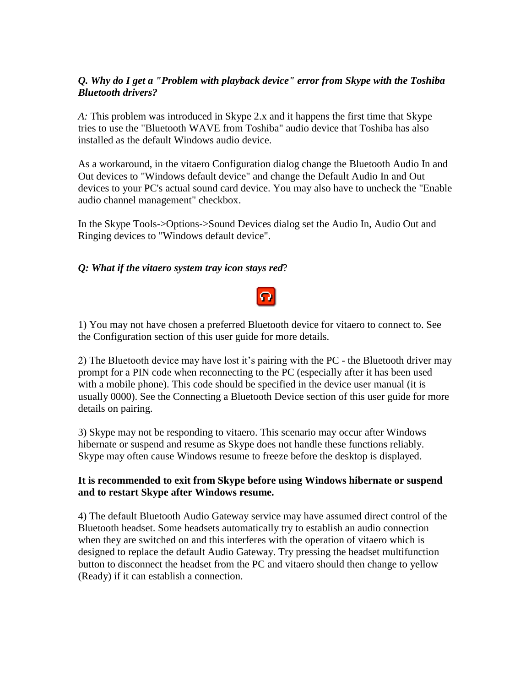## *Q. Why do I get a "Problem with playback device" error from Skype with the Toshiba Bluetooth drivers?*

*A:* This problem was introduced in Skype 2.x and it happens the first time that Skype tries to use the "Bluetooth WAVE from Toshiba" audio device that Toshiba has also installed as the default Windows audio device.

As a workaround, in the vitaero Configuration dialog change the Bluetooth Audio In and Out devices to "Windows default device" and change the Default Audio In and Out devices to your PC's actual sound card device. You may also have to uncheck the "Enable audio channel management" checkbox.

In the Skype Tools->Options->Sound Devices dialog set the Audio In, Audio Out and Ringing devices to "Windows default device".

## *Q: What if the vitaero system tray icon stays red*?

1) You may not have chosen a preferred Bluetooth device for vitaero to connect to. See the Configuration section of this user guide for more details.

ဂ

2) The Bluetooth device may have lost it"s pairing with the PC - the Bluetooth driver may prompt for a PIN code when reconnecting to the PC (especially after it has been used with a mobile phone). This code should be specified in the device user manual (it is usually 0000). See the Connecting a Bluetooth Device section of this user guide for more details on pairing.

3) Skype may not be responding to vitaero. This scenario may occur after Windows hibernate or suspend and resume as Skype does not handle these functions reliably. Skype may often cause Windows resume to freeze before the desktop is displayed.

## **It is recommended to exit from Skype before using Windows hibernate or suspend and to restart Skype after Windows resume.**

4) The default Bluetooth Audio Gateway service may have assumed direct control of the Bluetooth headset. Some headsets automatically try to establish an audio connection when they are switched on and this interferes with the operation of vitaero which is designed to replace the default Audio Gateway. Try pressing the headset multifunction button to disconnect the headset from the PC and vitaero should then change to yellow (Ready) if it can establish a connection.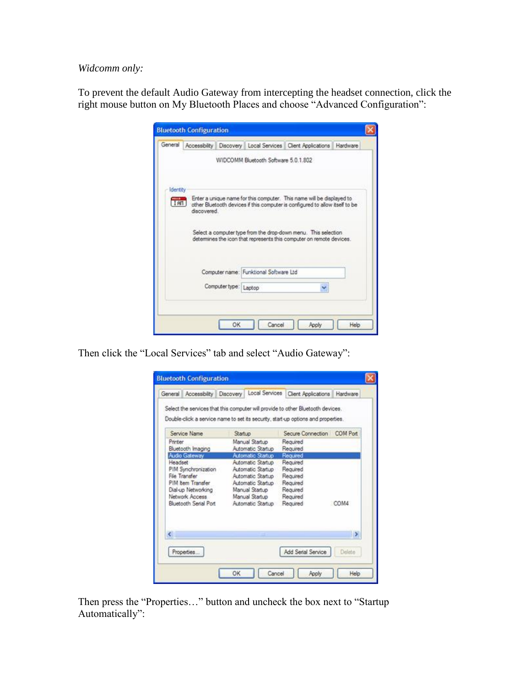## *Widcomm only:*

To prevent the default Audio Gateway from intercepting the headset connection, click the right mouse button on My Bluetooth Places and choose "Advanced Configuration":

|                 |             |                                        | General Accessbilty Discovery Local Services Client Applications Hardware                                                                             |  |
|-----------------|-------------|----------------------------------------|-------------------------------------------------------------------------------------------------------------------------------------------------------|--|
|                 |             | WIDCOMM Bluetooth Software 5.0.1.802   |                                                                                                                                                       |  |
| <b>Identity</b> |             |                                        |                                                                                                                                                       |  |
| T AM            | discovered. |                                        | Enter a unique name for this computer. This name will be displayed to<br>other Bluetooth devices if this computer is configured to allow itself to be |  |
|                 |             |                                        |                                                                                                                                                       |  |
|                 |             |                                        | Select a computer type from the drop-down menu. This selection<br>determines the icon that represents this computer on remote devices.                |  |
|                 |             | Computer name: Funktional Software Ltd |                                                                                                                                                       |  |

Then click the "Local Services" tab and select "Audio Gateway":

|                |                                                                                                                                   |         |                                                                                                                      | General Accessbilty Discovery Local Services Client Applications Hardware                                                                                            |        |
|----------------|-----------------------------------------------------------------------------------------------------------------------------------|---------|----------------------------------------------------------------------------------------------------------------------|----------------------------------------------------------------------------------------------------------------------------------------------------------------------|--------|
|                |                                                                                                                                   |         |                                                                                                                      | Select the services that this computer will provide to other Bluetooth devices.<br>Double-click a service name to set its security, start-up options and properties. |        |
|                | Service Name                                                                                                                      | Startup |                                                                                                                      | Secure Connection COM Port                                                                                                                                           |        |
| Printer        | Bluetooth Imaging                                                                                                                 |         | Manual Startup<br>Automatic Startup Required                                                                         | Required                                                                                                                                                             |        |
| <b>Header!</b> | <b>Audio Gateway</b>                                                                                                              |         | Automatic Startup<br>Automatic Startup                                                                               | Regured                                                                                                                                                              |        |
|                | PIM Synchronization<br>File Transfer<br>PIM Item Transfer<br>Dial-up Networking<br>Network Access<br><b>Bluetooth Serial Port</b> |         | Automatic Startup<br>Automatic Startup<br>Automatic Startup<br>Manual Startup<br>Manual Startup<br>Automatic Startup | Reguired<br>Required<br>Required<br>Required<br>Required<br>Required<br>Required                                                                                     | COM4   |
|                |                                                                                                                                   |         |                                                                                                                      |                                                                                                                                                                      | IУ.    |
|                | Properties                                                                                                                        |         |                                                                                                                      | Add Serial Service                                                                                                                                                   | Delete |

Then press the "Properties…" button and uncheck the box next to "Startup Automatically":